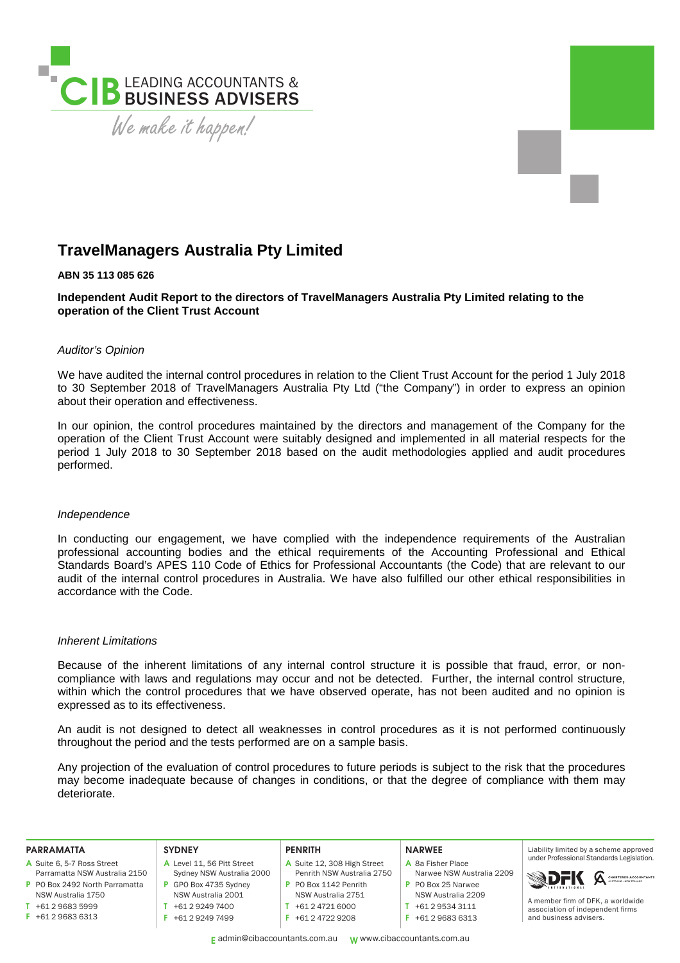

# **TravelManagers Australia Pty Limited**

#### **ABN 35 113 085 626**

**Independent Audit Report to the directors of TravelManagers Australia Pty Limited relating to the operation of the Client Trust Account** 

## *Auditor's Opinion*

We have audited the internal control procedures in relation to the Client Trust Account for the period 1 July 2018 to 30 September 2018 of TravelManagers Australia Pty Ltd ("the Company") in order to express an opinion about their operation and effectiveness.

In our opinion, the control procedures maintained by the directors and management of the Company for the operation of the Client Trust Account were suitably designed and implemented in all material respects for the period 1 July 2018 to 30 September 2018 based on the audit methodologies applied and audit procedures performed.

#### *Independence*

In conducting our engagement, we have complied with the independence requirements of the Australian professional accounting bodies and the ethical requirements of the Accounting Professional and Ethical Standards Board's APES 110 Code of Ethics for Professional Accountants (the Code) that are relevant to our audit of the internal control procedures in Australia. We have also fulfilled our other ethical responsibilities in accordance with the Code.

#### *Inherent Limitations*

Because of the inherent limitations of any internal control structure it is possible that fraud, error, or noncompliance with laws and regulations may occur and not be detected. Further, the internal control structure, within which the control procedures that we have observed operate, has not been audited and no opinion is expressed as to its effectiveness.

An audit is not designed to detect all weaknesses in control procedures as it is not performed continuously throughout the period and the tests performed are on a sample basis.

Any projection of the evaluation of control procedures to future periods is subject to the risk that the procedures may become inadequate because of changes in conditions, or that the degree of compliance with them may deteriorate.

| <b>PARRAMATTA</b>              | <b>SYDNEY</b>              | <b>PENRITH</b>              | <b>NARWEE</b>             | Liability limited by a scheme approved    |
|--------------------------------|----------------------------|-----------------------------|---------------------------|-------------------------------------------|
| A Suite 6, 5-7 Ross Street     | A Level 11, 56 Pitt Street | A Suite 12, 308 High Street | A 8a Fisher Place         | under Professional Standards Legislation. |
| Parramatta NSW Australia 2150  | Sydney NSW Australia 2000  | Penrith NSW Australia 2750  | Narwee NSW Australia 2209 | <b>SDFK</b> A CHARTERED ACCOUNTANTS       |
| P PO Box 2492 North Parramatta | GPO Box 4735 Sydney        | P PO Box 1142 Penrith       | P PO Box 25 Narwee        | A member firm of DFK, a worldwide         |
| NSW Australia 1750             | NSW Australia 2001         | NSW Australia 2751          | NSW Australia 2209        |                                           |
| +61 2 9683 5999                | +61 2 9249 7400            | +61 2 4721 6000             | +61 2 9534 3111           | association of independent firms          |
| $F$ +61 2 9683 6313            | +61 2 9249 7499            | +61 2 4722 9208             | +61 2 9683 6313           | and business advisers.                    |